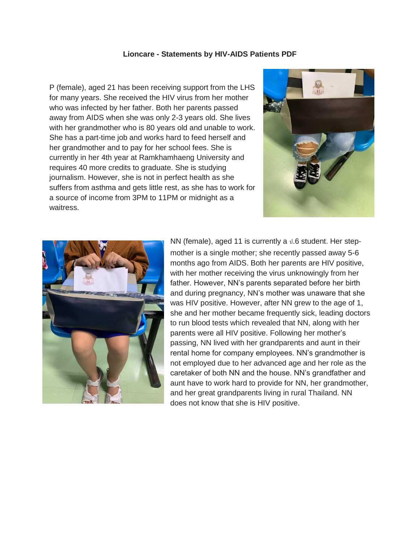## **Lioncare - Statements by HIV-AIDS Patients PDF**

P (female), aged 21 has been receiving support from the LHS for many years. She received the HIV virus from her mother who was infected by her father. Both her parents passed away from AIDS when she was only 2-3 years old. She lives with her grandmother who is 80 years old and unable to work. She has a part-time job and works hard to feed herself and her grandmother and to pay for her school fees. She is currently in her 4th year at Ramkhamhaeng University and requires 40 more credits to graduate. She is studying journalism. However, she is not in perfect health as she suffers from asthma and gets little rest, as she has to work for a source of income from 3PM to 11PM or midnight as a waitress.





NN (female), aged 11 is currently a  $\text{\ensuremath{\mathsf{d}}}.6$  student. Her stepmother is a single mother; she recently passed away 5-6 months ago from AIDS. Both her parents are HIV positive, with her mother receiving the virus unknowingly from her father. However, NN's parents separated before her birth and during pregnancy, NN's mother was unaware that she was HIV positive. However, after NN grew to the age of 1, she and her mother became frequently sick, leading doctors to run blood tests which revealed that NN, along with her parents were all HIV positive. Following her mother's passing, NN lived with her grandparents and aunt in their rental home for company employees. NN's grandmother is not employed due to her advanced age and her role as the caretaker of both NN and the house. NN's grandfather and aunt have to work hard to provide for NN, her grandmother, and her great grandparents living in rural Thailand. NN does not know that she is HIV positive.